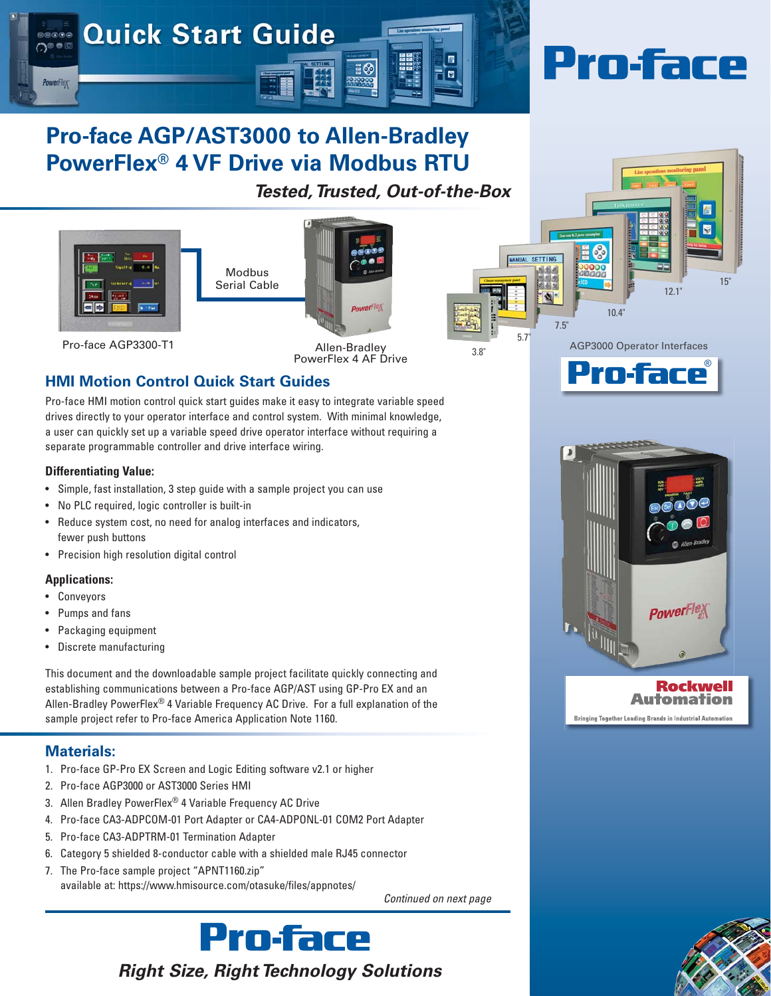

# **Pro-face AGP/AST3000 to Allen-Bradley PowerFlex® 4 VF Drive via Modbus RTU**

*Tested, Trusted, Out-of-the-Box*





Pro-face AGP3300-T1

Allen-Bradley PowerFlex 4 AF Drive

# **HMI Motion Control Quick Start Guides**

Pro-face HMI motion control quick start guides make it easy to integrate variable speed drives directly to your operator interface and control system. With minimal knowledge, a user can quickly set up a variable speed drive operator interface without requiring a separate programmable controller and drive interface wiring.

#### **Differentiating Value:**

- Simple, fast installation, 3 step guide with a sample project you can use
- No PLC required, logic controller is built-in
- Reduce system cost, no need for analog interfaces and indicators, fewer push buttons
- Precision high resolution digital control

#### **Applications:**

- **Conveyors**
- Pumps and fans
- Packaging equipment
- Discrete manufacturing

This document and the downloadable sample project facilitate quickly connecting and establishing communications between a Pro-face AGP/AST using GP-Pro EX and an Allen-Bradley PowerFlex® 4 Variable Frequency AC Drive. For a full explanation of the sample project refer to Pro-face America Application Note 1160.

## **Materials:**

- 1. Pro-face GP-Pro EX Screen and Logic Editing software v2.1 or higher
- 2. Pro-face AGP3000 or AST3000 Series HMI
- 3. Allen Bradley PowerFlex® 4 Variable Frequency AC Drive
- 4. Pro-face CA3-ADPCOM-01 Port Adapter or CA4-ADPONL-01 COM2 Port Adapter
- 5. Pro-face CA3-ADPTRM-01 Termination Adapter
- 6. Category 5 shielded 8-conductor cable with a shielded male RJ45 connector
- 7. The Pro-face sample project "APNT1160.zip" available at: https://www.hmisource.com/otasuke/files/appnotes/

*Continued on next page*





Prn.fare

AGP3000 Operator Interfaces

10.4"

7.5"

5.7"

**MANUAL SETTING** 

3.8"

12.1"

15"

#### Rockwell **Automation Bringing Together Leading Brands in Industrial Automatio**

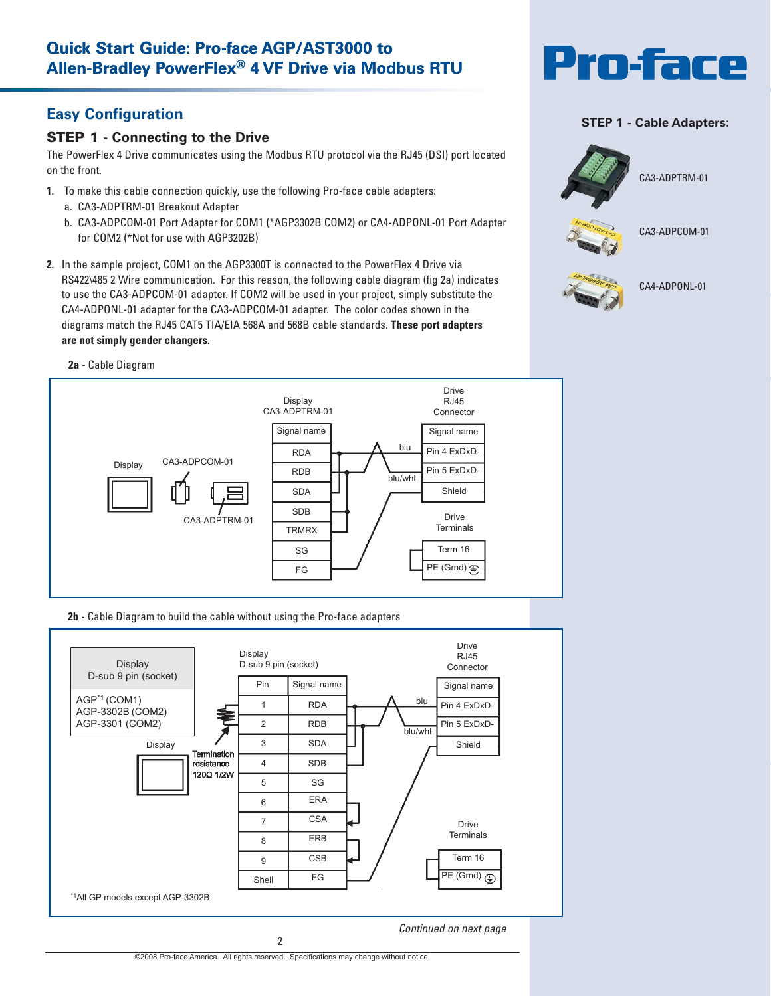# **Easy Configuration**

## **STEP 1 - Connecting to the Drive**

The PowerFlex 4 Drive communicates using the Modbus RTU protocol via the RJ45 (DSI) port located on the front.

- **1.** To make this cable connection quickly, use the following Pro-face cable adapters:
	- a. CA3-ADPTRM-01 Breakout Adapter
	- b. CA3-ADPCOM-01 Port Adapter for COM1 (\*AGP3302B COM2) or CA4-ADPONL-01 Port Adapter for COM2 (\*Not for use with AGP3202B)
- **2.** In the sample project, COM1 on the AGP3300T is connected to the PowerFlex 4 Drive via RS422\485 2 Wire communication. For this reason, the following cable diagram (fig 2a) indicates to use the CA3-ADPCOM-01 adapter. If COM2 will be used in your project, simply substitute the CA4-ADPONL-01 adapter for the CA3-ADPCOM-01 adapter. The color codes shown in the diagrams match the RJ45 CAT5 TIA/EIA 568A and 568B cable standards. **These port adapters are not simply gender changers.**



### **STEP 1 - Cable Adapters:**



#### **2a** - Cable Diagram



#### **2b** - Cable Diagram to build the cable without using the Pro-face adapters